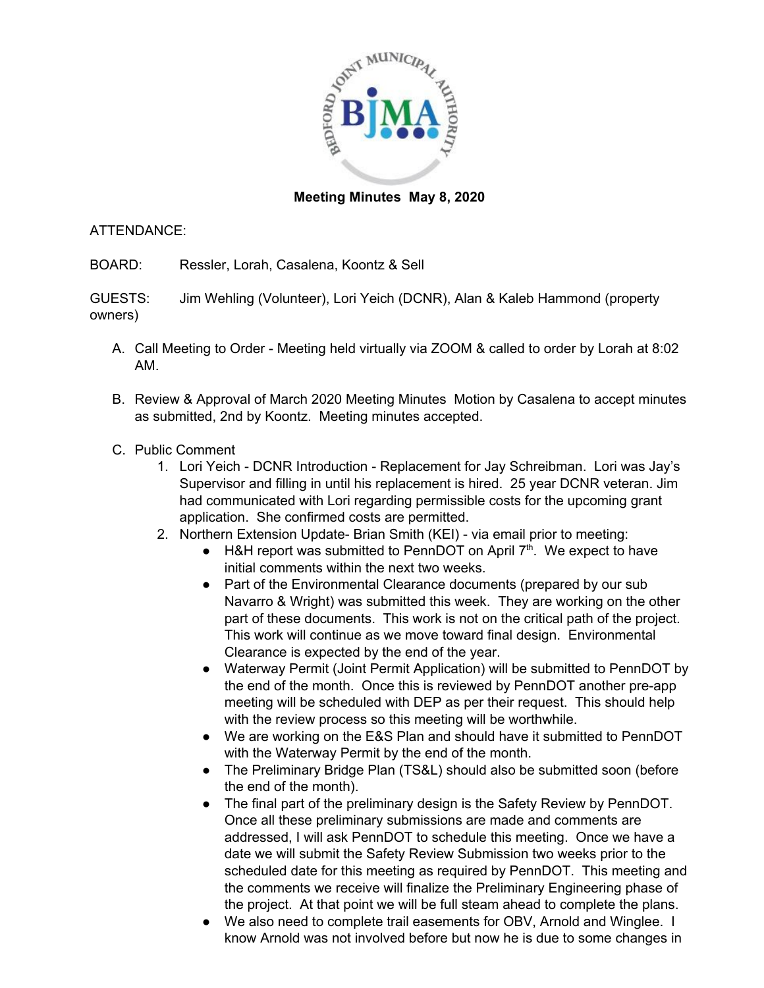

## **Meeting Minutes May 8, 2020**

## ATTENDANCE:

BOARD: Ressler, Lorah, Casalena, Koontz & Sell

GUESTS: Jim Wehling (Volunteer), Lori Yeich (DCNR), Alan & Kaleb Hammond (property owners)

- A. Call Meeting to Order Meeting held virtually via ZOOM & called to order by Lorah at 8:02 AM.
- B. Review & Approval of March 2020 Meeting Minutes Motion by Casalena to accept minutes as submitted, 2nd by Koontz. Meeting minutes accepted.
- C. Public Comment
	- 1. Lori Yeich DCNR Introduction Replacement for Jay Schreibman. Lori was Jay's Supervisor and filling in until his replacement is hired. 25 year DCNR veteran. Jim had communicated with Lori regarding permissible costs for the upcoming grant application. She confirmed costs are permitted.
	- 2. Northern Extension Update- Brian Smith (KEI) via email prior to meeting:
		- $\bullet$  H&H report was submitted to PennDOT on April  $7<sup>th</sup>$ . We expect to have initial comments within the next two weeks.
		- Part of the Environmental Clearance documents (prepared by our sub Navarro & Wright) was submitted this week. They are working on the other part of these documents. This work is not on the critical path of the project. This work will continue as we move toward final design. Environmental Clearance is expected by the end of the year.
		- Waterway Permit (Joint Permit Application) will be submitted to PennDOT by the end of the month. Once this is reviewed by PennDOT another pre-app meeting will be scheduled with DEP as per their request. This should help with the review process so this meeting will be worthwhile.
		- We are working on the E&S Plan and should have it submitted to PennDOT with the Waterway Permit by the end of the month.
		- The Preliminary Bridge Plan (TS&L) should also be submitted soon (before the end of the month).
		- The final part of the preliminary design is the Safety Review by PennDOT. Once all these preliminary submissions are made and comments are addressed, I will ask PennDOT to schedule this meeting. Once we have a date we will submit the Safety Review Submission two weeks prior to the scheduled date for this meeting as required by PennDOT. This meeting and the comments we receive will finalize the Preliminary Engineering phase of the project. At that point we will be full steam ahead to complete the plans.
		- We also need to complete trail easements for OBV, Arnold and Winglee. Ⅰ know Arnold was not involved before but now he is due to some changes in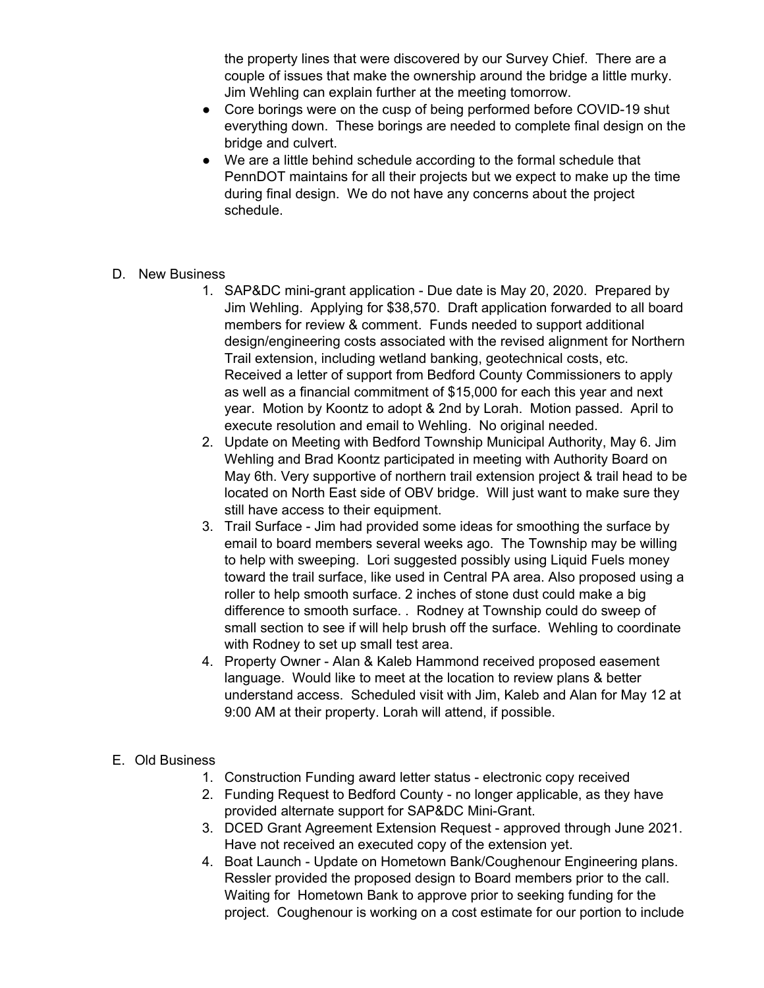the property lines that were discovered by our Survey Chief. There are a couple of issues that make the ownership around the bridge a little murky. Jim Wehling can explain further at the meeting tomorrow.

- Core borings were on the cusp of being performed before COVID-19 shut everything down. These borings are needed to complete final design on the bridge and culvert.
- We are a little behind schedule according to the formal schedule that PennDOT maintains for all their projects but we expect to make up the time during final design. We do not have any concerns about the project schedule.
- D. New Business
	- 1. SAP&DC mini-grant application Due date is May 20, 2020. Prepared by Jim Wehling. Applying for \$38,570. Draft application forwarded to all board members for review & comment. Funds needed to support additional design/engineering costs associated with the revised alignment for Northern Trail extension, including wetland banking, geotechnical costs, etc. Received a letter of support from Bedford County Commissioners to apply as well as a financial commitment of \$15,000 for each this year and next year. Motion by Koontz to adopt & 2nd by Lorah. Motion passed. April to execute resolution and email to Wehling. No original needed.
	- 2. Update on Meeting with Bedford Township Municipal Authority, May 6. Jim Wehling and Brad Koontz participated in meeting with Authority Board on May 6th. Very supportive of northern trail extension project & trail head to be located on North East side of OBV bridge. Will just want to make sure they still have access to their equipment.
	- 3. Trail Surface Jim had provided some ideas for smoothing the surface by email to board members several weeks ago. The Township may be willing to help with sweeping. Lori suggested possibly using Liquid Fuels money toward the trail surface, like used in Central PA area. Also proposed using a roller to help smooth surface. 2 inches of stone dust could make a big difference to smooth surface. . Rodney at Township could do sweep of small section to see if will help brush off the surface. Wehling to coordinate with Rodney to set up small test area.
	- 4. Property Owner Alan & Kaleb Hammond received proposed easement language. Would like to meet at the location to review plans & better understand access. Scheduled visit with Jim, Kaleb and Alan for May 12 at 9:00 AM at their property. Lorah will attend, if possible.

## E. Old Business

- 1. Construction Funding award letter status electronic copy received
- 2. Funding Request to Bedford County no longer applicable, as they have provided alternate support for SAP&DC Mini-Grant.
- 3. DCED Grant Agreement Extension Request approved through June 2021. Have not received an executed copy of the extension yet.
- 4. Boat Launch Update on Hometown Bank/Coughenour Engineering plans. Ressler provided the proposed design to Board members prior to the call. Waiting for Hometown Bank to approve prior to seeking funding for the project. Coughenour is working on a cost estimate for our portion to include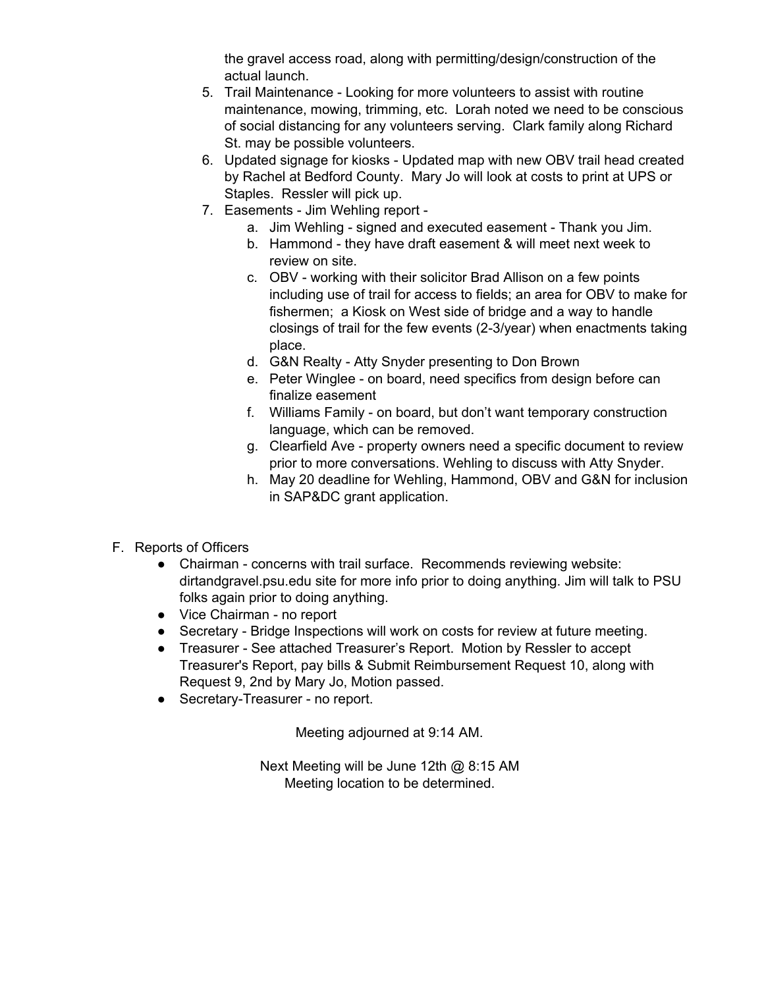the gravel access road, along with permitting/design/construction of the actual launch.

- 5. Trail Maintenance Looking for more volunteers to assist with routine maintenance, mowing, trimming, etc. Lorah noted we need to be conscious of social distancing for any volunteers serving. Clark family along Richard St. may be possible volunteers.
- 6. Updated signage for kiosks Updated map with new OBV trail head created by Rachel at Bedford County. Mary Jo will look at costs to print at UPS or Staples. Ressler will pick up.
- 7. Easements Jim Wehling report
	- a. Jim Wehling signed and executed easement Thank you Jim.
	- b. Hammond they have draft easement & will meet next week to review on site.
	- c. OBV working with their solicitor Brad Allison on a few points including use of trail for access to fields; an area for OBV to make for fishermen; a Kiosk on West side of bridge and a way to handle closings of trail for the few events (2-3/year) when enactments taking place.
	- d. G&N Realty Atty Snyder presenting to Don Brown
	- e. Peter Winglee on board, need specifics from design before can finalize easement
	- f. Williams Family on board, but don't want temporary construction language, which can be removed.
	- g. Clearfield Ave property owners need a specific document to review prior to more conversations. Wehling to discuss with Atty Snyder.
	- h. May 20 deadline for Wehling, Hammond, OBV and G&N for inclusion in SAP&DC grant application.
- F. Reports of Officers
	- Chairman concerns with trail surface. Recommends reviewing website: dirtandgravel.psu.edu site for more info prior to doing anything. Jim will talk to PSU folks again prior to doing anything.
	- Vice Chairman no report
	- Secretary Bridge Inspections will work on costs for review at future meeting.
	- Treasurer See attached Treasurer's Report. Motion by Ressler to accept Treasurer's Report, pay bills & Submit Reimbursement Request 10, along with Request 9, 2nd by Mary Jo, Motion passed.
	- Secretary-Treasurer no report.

Meeting adjourned at 9:14 AM.

Next Meeting will be June 12th @ 8:15 AM Meeting location to be determined.